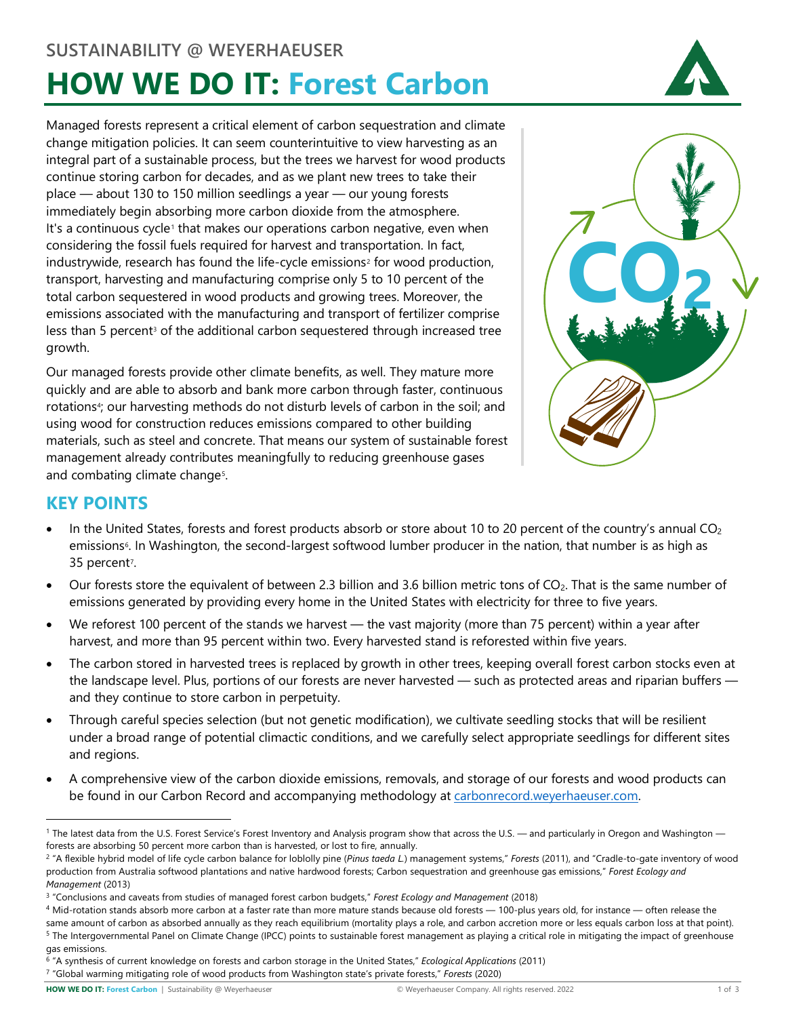# **SUSTAINABILITY @ WEYERHAEUSER HOW WE DO IT: Forest Carbon**



Managed forests represent a critical element of carbon sequestration and climate change mitigation policies. It can seem counterintuitive to view harvesting as an integral part of a sustainable process, but the trees we harvest for wood products continue storing carbon for decades, and as we plant new trees to take their place — about 130 to 150 million seedlings a year — our young forests immediately begin absorbing more carbon dioxide from the atmosphere. It's a continuous cycle<sup>[1](#page-0-0)</sup> that makes our operations carbon negative, even when considering the fossil fuels required for harvest and transportation. In fact, industrywide, research has found the life-cycle emissions<sup>[2](#page-0-1)</sup> for wood production, transport, harvesting and manufacturing comprise only 5 to 10 percent of the total carbon sequestered in wood products and growing trees. Moreover, the emissions associated with the manufacturing and transport of fertilizer comprise less than 5 percent<sup>[3](#page-0-2)</sup> of the additional carbon sequestered through increased tree growth.

Our managed forests provide other climate benefits, as well. They mature more quickly and are able to absorb and bank more carbon through faster, continuous rotations<sup>4</sup>; our harvesting methods do not disturb levels of carbon in the soil; and using wood for construction reduces emissions compared to other building materials, such as steel and concrete. That means our system of sustainable forest management already contributes meaningfully to reducing greenhouse gases and combating climate change<sup>5</sup>.



## **KEY POINTS**

- In the United States, forests and forest products absorb or store about 10 to 20 percent of the country's annual CO<sub>2</sub> emissions<sup>6</sup>. In Washington, the second-largest softwood lumber producer in the nation, that number is as high as 35 percent<sup>[7](#page-0-6)</sup>.
- Our forests store the equivalent of between 2.3 billion and 3.6 billion metric tons of  $CO<sub>2</sub>$ . That is the same number of emissions generated by providing every home in the United States with electricity for three to five years.
- We reforest 100 percent of the stands we harvest the vast majority (more than 75 percent) within a year after harvest, and more than 95 percent within two. Every harvested stand is reforested within five years.
- The carbon stored in harvested trees is replaced by growth in other trees, keeping overall forest carbon stocks even at the landscape level. Plus, portions of our forests are never harvested — such as protected areas and riparian buffers and they continue to store carbon in perpetuity.
- Through careful species selection (but not genetic modification), we cultivate seedling stocks that will be resilient under a broad range of potential climactic conditions, and we carefully select appropriate seedlings for different sites and regions.
- A comprehensive view of the carbon dioxide emissions, removals, and storage of our forests and wood products can be found in our Carbon Record and accompanying methodology at [carbonrecord.weyerhaeuser.com.](https://carbonrecord.weyerhaeuser.com/)

<span id="page-0-0"></span><sup>&</sup>lt;sup>1</sup> The latest data from the U.S. Forest Service's Forest Inventory and Analysis program show that across the U.S. — and particularly in Oregon and Washington forests are absorbing 50 percent more carbon than is harvested, or lost to fire, annually.

<span id="page-0-1"></span><sup>2</sup> "A flexible hybrid model of life cycle carbon balance for loblolly pine (*Pinus taeda L.*) management systems," *Forests* (2011), and "Cradle-to-gate inventory of wood production from Australia softwood plantations and native hardwood forests; Carbon sequestration and greenhouse gas emissions," *Forest Ecology and Management* (2013)

<span id="page-0-2"></span><sup>3</sup> "Conclusions and caveats from studies of managed forest carbon budgets," *Forest Ecology and Management* (2018)

<span id="page-0-4"></span><span id="page-0-3"></span><sup>4</sup> Mid-rotation stands absorb more carbon at a faster rate than more mature stands because old forests — 100-plus years old, for instance — often release the same amount of carbon as absorbed annually as they reach equilibrium (mortality plays a role, and carbon accretion more or less equals carbon loss at that point). <sup>5</sup> The Intergovernmental Panel on Climate Change (IPCC) points to sustainable forest management as playing a critical role in mitigating the impact of greenhouse gas emissions.

<span id="page-0-6"></span><span id="page-0-5"></span><sup>6</sup> "A synthesis of current knowledge on forests and carbon storage in the United States," *Ecological Applications* (2011) <sup>7</sup> "Global warming mitigating role of wood products from Washington state's private forests," *Forests* (2020)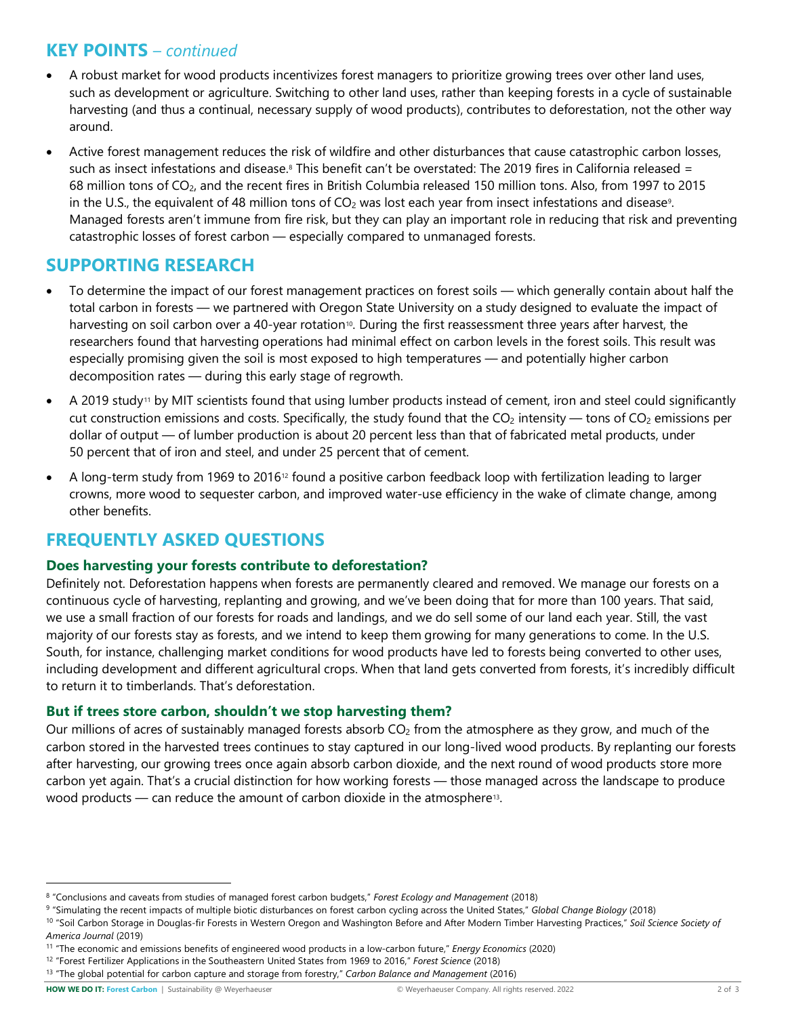## **KEY POINTS** – *continued*

- A robust market for wood products incentivizes forest managers to prioritize growing trees over other land uses, such as development or agriculture. Switching to other land uses, rather than keeping forests in a cycle of sustainable harvesting (and thus a continual, necessary supply of wood products), contributes to deforestation, not the other way around.
- Active forest management reduces the risk of wildfire and other disturbances that cause catastrophic carbon losses, such as insect infestations and disease. [8](#page-1-0) This benefit can't be overstated: The 2019 fires in California released = 68 million tons of CO2, and the recent fires in British Columbia released 150 million tons. Also, from 1997 to 2015 in the U.S., the equivalent of 48 million tons of  $CO<sub>2</sub>$  was lost each year from insect infestations and disease<sup>[9](#page-1-1)</sup>. Managed forests aren't immune from fire risk, but they can play an important role in reducing that risk and preventing catastrophic losses of forest carbon — especially compared to unmanaged forests.

## **SUPPORTING RESEARCH**

- To determine the impact of our forest management practices on forest soils which generally contain about half the total carbon in forests — we partnered with Oregon State University on a study designed to evaluate the impact of harvesting on soil carbon over a 40-year rotation<sup>10</sup>. During the first reassessment three years after harvest, the researchers found that harvesting operations had minimal effect on carbon levels in the forest soils. This result was especially promising given the soil is most exposed to high temperatures — and potentially higher carbon decomposition rates — during this early stage of regrowth.
- A 2019 study<sup>[11](#page-1-3)</sup> by MIT scientists found that using lumber products instead of cement, iron and steel could significantly cut construction emissions and costs. Specifically, the study found that the  $CO_2$  intensity — tons of  $CO_2$  emissions per dollar of output — of lumber production is about 20 percent less than that of fabricated metal products, under 50 percent that of iron and steel, and under 25 percent that of cement.
- A long-term study from 1969 to 201[612](#page-1-4) found a positive carbon feedback loop with fertilization leading to larger crowns, more wood to sequester carbon, and improved water-use efficiency in the wake of climate change, among other benefits.

# **FREQUENTLY ASKED QUESTIONS**

## **Does harvesting your forests contribute to deforestation?**

Definitely not. Deforestation happens when forests are permanently cleared and removed. We manage our forests on a continuous cycle of harvesting, replanting and growing, and we've been doing that for more than 100 years. That said, we use a small fraction of our forests for roads and landings, and we do sell some of our land each year. Still, the vast majority of our forests stay as forests, and we intend to keep them growing for many generations to come. In the U.S. South, for instance, challenging market conditions for wood products have led to forests being converted to other uses, including development and different agricultural crops. When that land gets converted from forests, it's incredibly difficult to return it to timberlands. That's deforestation.

## **But if trees store carbon, shouldn't we stop harvesting them?**

Our millions of acres of sustainably managed forests absorb  $CO<sub>2</sub>$  from the atmosphere as they grow, and much of the carbon stored in the harvested trees continues to stay captured in our long-lived wood products. By replanting our forests after harvesting, our growing trees once again absorb carbon dioxide, and the next round of wood products store more carbon yet again. That's a crucial distinction for how working forests — those managed across the landscape to produce wood products  $-$  can reduce the amount of carbon dioxide in the atmosphere<sup>[13](#page-1-5)</sup>.

<span id="page-1-0"></span><sup>8</sup> "Conclusions and caveats from studies of managed forest carbon budgets," *Forest Ecology and Management* (2018)

<span id="page-1-1"></span><sup>9</sup> "Simulating the recent impacts of multiple biotic disturbances on forest carbon cycling across the United States," *Global Change Biology* (2018)

<span id="page-1-2"></span><sup>&</sup>lt;sup>10</sup> "Soil Carbon Storage in Douglas-fir Forests in Western Oregon and Washington Before and After Modern Timber Harvesting Practices," Soil Science Society of *America Journal* (2019)

<span id="page-1-3"></span><sup>11</sup> "The economic and emissions benefits of engineered wood products in a low-carbon future," *Energy Economics* (2020)

<span id="page-1-5"></span><span id="page-1-4"></span><sup>12</sup> "Forest Fertilizer Applications in the Southeastern United States from 1969 to 2016," *Forest Science* (2018)